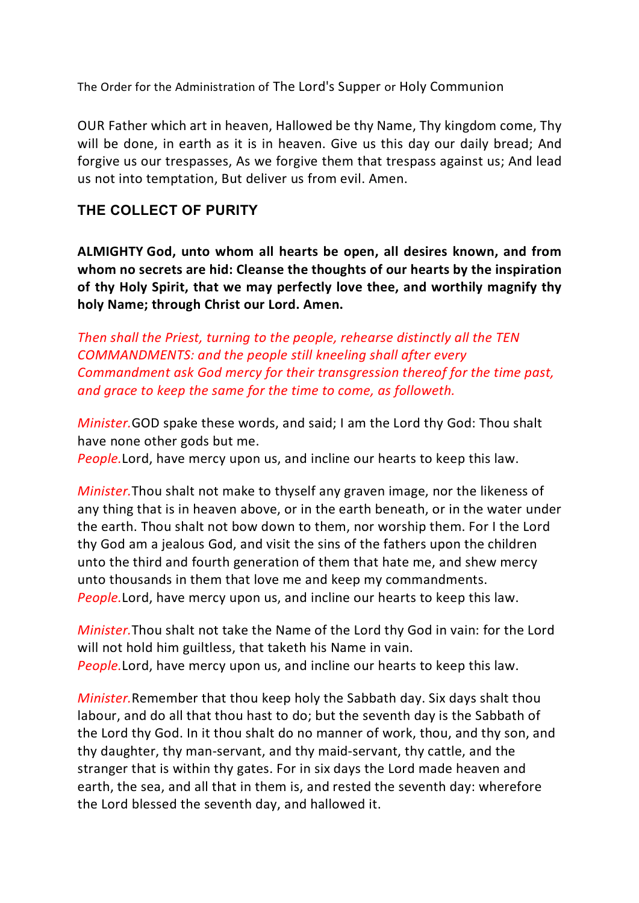The Order for the Administration of The Lord's Supper or Holy Communion

OUR Father which art in heaven, Hallowed be thy Name, Thy kingdom come, Thy will be done, in earth as it is in heaven. Give us this day our daily bread; And forgive us our trespasses, As we forgive them that trespass against us; And lead us not into temptation, But deliver us from evil. Amen.

## **THE COLLECT OF PURITY**

**ALMIGHTY God, unto whom all hearts be open, all desires known, and from whom no secrets are hid: Cleanse the thoughts of our hearts by the inspiration of thy Holy Spirit, that we may perfectly love thee, and worthily magnify thy holy Name; through Christ our Lord. Amen.**

*Then shall the Priest, turning to the people, rehearse distinctly all the TEN COMMANDMENTS: and the people still kneeling shall after every Commandment ask God mercy for their transgression thereof for the time past, and grace to keep the same for the time to come, as followeth.*

*Minister.*GOD spake these words, and said; I am the Lord thy God: Thou shalt have none other gods but me.

*People.*Lord, have mercy upon us, and incline our hearts to keep this law.

*Minister.*Thou shalt not make to thyself any graven image, nor the likeness of any thing that is in heaven above, or in the earth beneath, or in the water under the earth. Thou shalt not bow down to them, nor worship them. For I the Lord thy God am a jealous God, and visit the sins of the fathers upon the children unto the third and fourth generation of them that hate me, and shew mercy unto thousands in them that love me and keep my commandments. *People.*Lord, have mercy upon us, and incline our hearts to keep this law.

*Minister.*Thou shalt not take the Name of the Lord thy God in vain: for the Lord will not hold him guiltless, that taketh his Name in vain. *People.*Lord, have mercy upon us, and incline our hearts to keep this law.

*Minister.*Remember that thou keep holy the Sabbath day. Six days shalt thou labour, and do all that thou hast to do; but the seventh day is the Sabbath of the Lord thy God. In it thou shalt do no manner of work, thou, and thy son, and thy daughter, thy man-servant, and thy maid-servant, thy cattle, and the stranger that is within thy gates. For in six days the Lord made heaven and earth, the sea, and all that in them is, and rested the seventh day: wherefore the Lord blessed the seventh day, and hallowed it.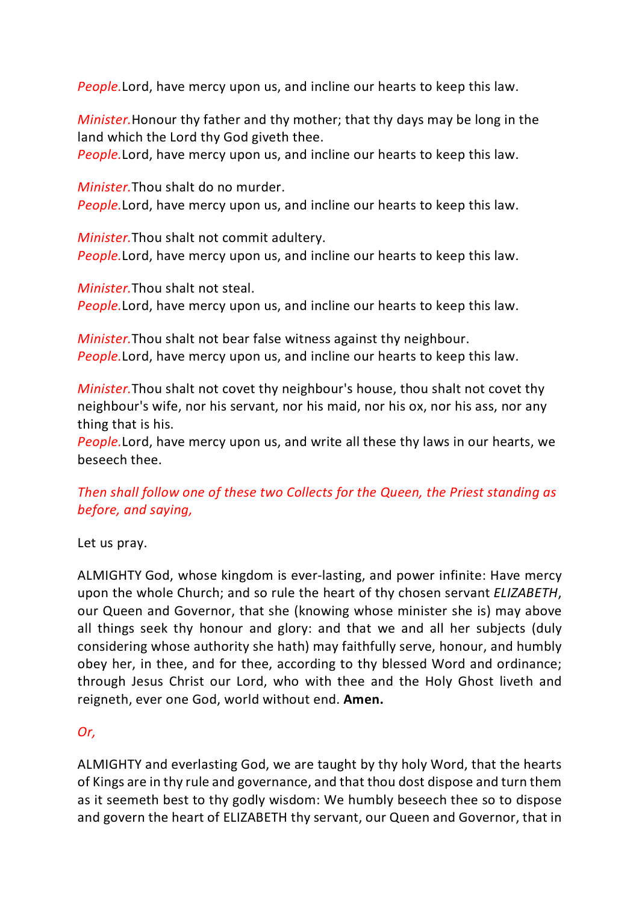*People.*Lord, have mercy upon us, and incline our hearts to keep this law.

*Minister.*Honour thy father and thy mother; that thy days may be long in the land which the Lord thy God giveth thee.

*People.*Lord, have mercy upon us, and incline our hearts to keep this law.

*Minister.*Thou shalt do no murder. *People.*Lord, have mercy upon us, and incline our hearts to keep this law.

*Minister.*Thou shalt not commit adultery. *People.*Lord, have mercy upon us, and incline our hearts to keep this law.

*Minister.*Thou shalt not steal. *People.*Lord, have mercy upon us, and incline our hearts to keep this law.

*Minister.*Thou shalt not bear false witness against thy neighbour. *People.*Lord, have mercy upon us, and incline our hearts to keep this law.

*Minister.*Thou shalt not covet thy neighbour's house, thou shalt not covet thy neighbour's wife, nor his servant, nor his maid, nor his ox, nor his ass, nor any thing that is his.

*People.*Lord, have mercy upon us, and write all these thy laws in our hearts, we beseech thee.

# *Then shall follow one of these two Collects for the Queen, the Priest standing as before, and saying,*

Let us pray.

ALMIGHTY God, whose kingdom is ever-lasting, and power infinite: Have mercy upon the whole Church; and so rule the heart of thy chosen servant *ELIZABETH*, our Queen and Governor, that she (knowing whose minister she is) may above all things seek thy honour and glory: and that we and all her subjects (duly considering whose authority she hath) may faithfully serve, honour, and humbly obey her, in thee, and for thee, according to thy blessed Word and ordinance; through Jesus Christ our Lord, who with thee and the Holy Ghost liveth and reigneth, ever one God, world without end. **Amen.**

## *Or,*

ALMIGHTY and everlasting God, we are taught by thy holy Word, that the hearts of Kings are in thy rule and governance, and that thou dost dispose and turn them as it seemeth best to thy godly wisdom: We humbly beseech thee so to dispose and govern the heart of ELIZABETH thy servant, our Queen and Governor, that in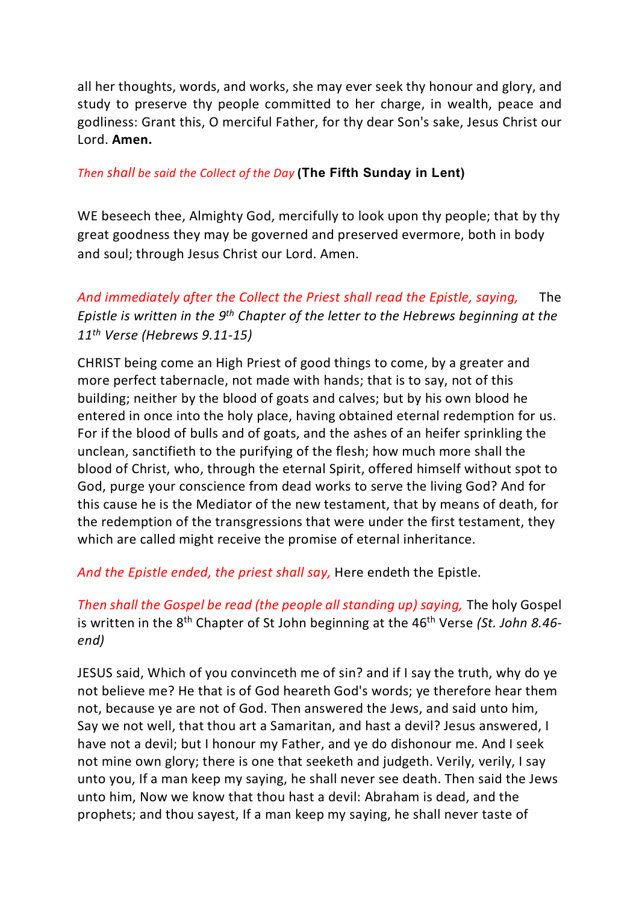all her thoughts, words, and works, she may ever seek thy honour and glory, and study to preserve thy people committed to her charge, in wealth, peace and godliness: Grant this, O merciful Father, for thy dear Son's sake, Jesus Christ our Lord. **Amen.**

### *Then shall be said the Collect of the Day* **(The Fifth Sunday in Lent)**

WE beseech thee, Almighty God, mercifully to look upon thy people; that by thy great goodness they may be governed and preserved evermore, both in body and soul; through Jesus Christ our Lord. Amen.

*And immediately after the Collect the Priest shall read the Epistle, saying,* The *Epistle is written in the 9th Chapter of the letter to the Hebrews beginning at the 11th Verse (Hebrews 9.11-15)*

CHRIST being come an High Priest of good things to come, by a greater and more perfect tabernacle, not made with hands; that is to say, not of this building; neither by the blood of goats and calves; but by his own blood he entered in once into the holy place, having obtained eternal redemption for us. For if the blood of bulls and of goats, and the ashes of an heifer sprinkling the unclean, sanctifieth to the purifying of the flesh; how much more shall the blood of Christ, who, through the eternal Spirit, offered himself without spot to God, purge your conscience from dead works to serve the living God? And for this cause he is the Mediator of the new testament, that by means of death, for the redemption of the transgressions that were under the first testament, they which are called might receive the promise of eternal inheritance.

*And the Epistle ended, the priest shall say,* Here endeth the Epistle.

*Then shall the Gospel be read (the people all standing up) saying,* The holy Gospel is written in the 8<sup>th</sup> Chapter of St John beginning at the 46<sup>th</sup> Verse *(St. John 8.46end)*

JESUS said, Which of you convinceth me of sin? and if I say the truth, why do ye not believe me? He that is of God heareth God's words; ye therefore hear them not, because ye are not of God. Then answered the Jews, and said unto him, Say we not well, that thou art a Samaritan, and hast a devil? Jesus answered, I have not a devil; but I honour my Father, and ye do dishonour me. And I seek not mine own glory; there is one that seeketh and judgeth. Verily, verily, I say unto you, If a man keep my saying, he shall never see death. Then said the Jews unto him, Now we know that thou hast a devil: Abraham is dead, and the prophets; and thou sayest, If a man keep my saying, he shall never taste of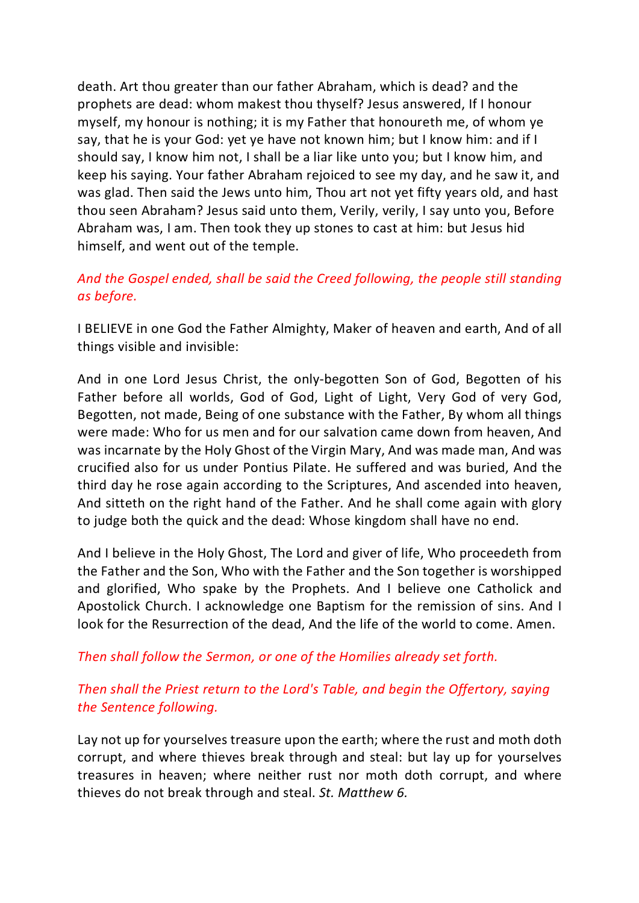death. Art thou greater than our father Abraham, which is dead? and the prophets are dead: whom makest thou thyself? Jesus answered, If I honour myself, my honour is nothing; it is my Father that honoureth me, of whom ye say, that he is your God: yet ye have not known him; but I know him: and if I should say, I know him not, I shall be a liar like unto you; but I know him, and keep his saying. Your father Abraham rejoiced to see my day, and he saw it, and was glad. Then said the Jews unto him, Thou art not yet fifty years old, and hast thou seen Abraham? Jesus said unto them, Verily, verily, I say unto you, Before Abraham was, I am. Then took they up stones to cast at him: but Jesus hid himself, and went out of the temple.

# *And the Gospel ended, shall be said the Creed following, the people still standing as before.*

I BELIEVE in one God the Father Almighty, Maker of heaven and earth, And of all things visible and invisible:

And in one Lord Jesus Christ, the only-begotten Son of God, Begotten of his Father before all worlds, God of God, Light of Light, Very God of very God, Begotten, not made, Being of one substance with the Father, By whom all things were made: Who for us men and for our salvation came down from heaven, And was incarnate by the Holy Ghost of the Virgin Mary, And was made man, And was crucified also for us under Pontius Pilate. He suffered and was buried, And the third day he rose again according to the Scriptures, And ascended into heaven, And sitteth on the right hand of the Father. And he shall come again with glory to judge both the quick and the dead: Whose kingdom shall have no end.

And I believe in the Holy Ghost, The Lord and giver of life, Who proceedeth from the Father and the Son, Who with the Father and the Son together is worshipped and glorified, Who spake by the Prophets. And I believe one Catholick and Apostolick Church. I acknowledge one Baptism for the remission of sins. And I look for the Resurrection of the dead, And the life of the world to come. Amen.

*Then shall follow the Sermon, or one of the Homilies already set forth.*

# *Then shall the Priest return to the Lord's Table, and begin the Offertory, saying the Sentence following.*

Lay not up for yourselves treasure upon the earth; where the rust and moth doth corrupt, and where thieves break through and steal: but lay up for yourselves treasures in heaven; where neither rust nor moth doth corrupt, and where thieves do not break through and steal. *St. Matthew 6.*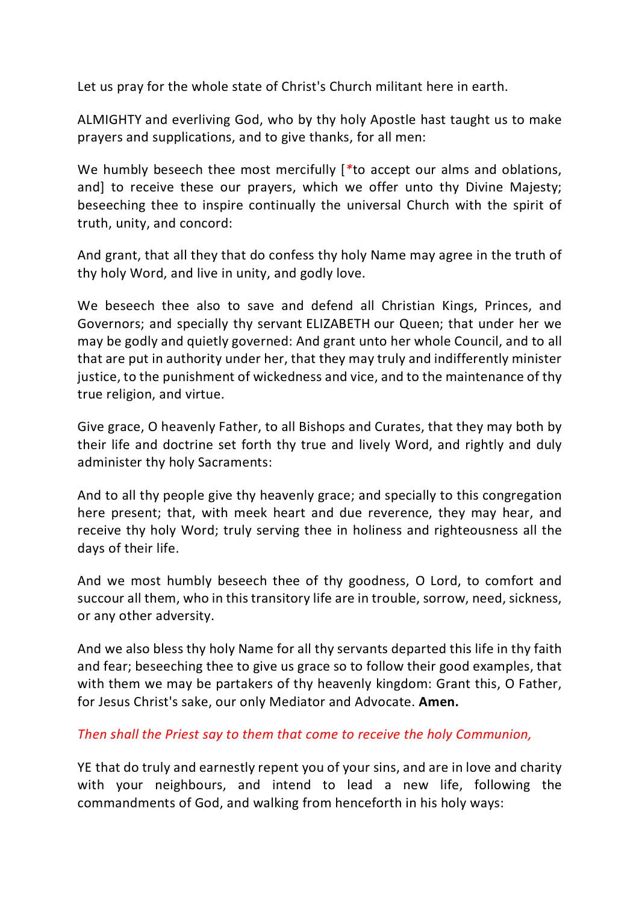Let us pray for the whole state of Christ's Church militant here in earth.

ALMIGHTY and everliving God, who by thy holy Apostle hast taught us to make prayers and supplications, and to give thanks, for all men:

We humbly beseech thee most mercifully [*\**to accept our alms and oblations, and] to receive these our prayers, which we offer unto thy Divine Majesty; beseeching thee to inspire continually the universal Church with the spirit of truth, unity, and concord:

And grant, that all they that do confess thy holy Name may agree in the truth of thy holy Word, and live in unity, and godly love.

We beseech thee also to save and defend all Christian Kings, Princes, and Governors; and specially thy servant ELIZABETH our Queen; that under her we may be godly and quietly governed: And grant unto her whole Council, and to all that are put in authority under her, that they may truly and indifferently minister justice, to the punishment of wickedness and vice, and to the maintenance of thy true religion, and virtue.

Give grace, O heavenly Father, to all Bishops and Curates, that they may both by their life and doctrine set forth thy true and lively Word, and rightly and duly administer thy holy Sacraments:

And to all thy people give thy heavenly grace; and specially to this congregation here present; that, with meek heart and due reverence, they may hear, and receive thy holy Word; truly serving thee in holiness and righteousness all the days of their life.

And we most humbly beseech thee of thy goodness, O Lord, to comfort and succour all them, who in this transitory life are in trouble, sorrow, need, sickness, or any other adversity.

And we also bless thy holy Name for all thy servants departed this life in thy faith and fear; beseeching thee to give us grace so to follow their good examples, that with them we may be partakers of thy heavenly kingdom: Grant this, O Father, for Jesus Christ's sake, our only Mediator and Advocate. **Amen.**

#### *Then shall the Priest say to them that come to receive the holy Communion,*

YE that do truly and earnestly repent you of your sins, and are in love and charity with your neighbours, and intend to lead a new life, following the commandments of God, and walking from henceforth in his holy ways: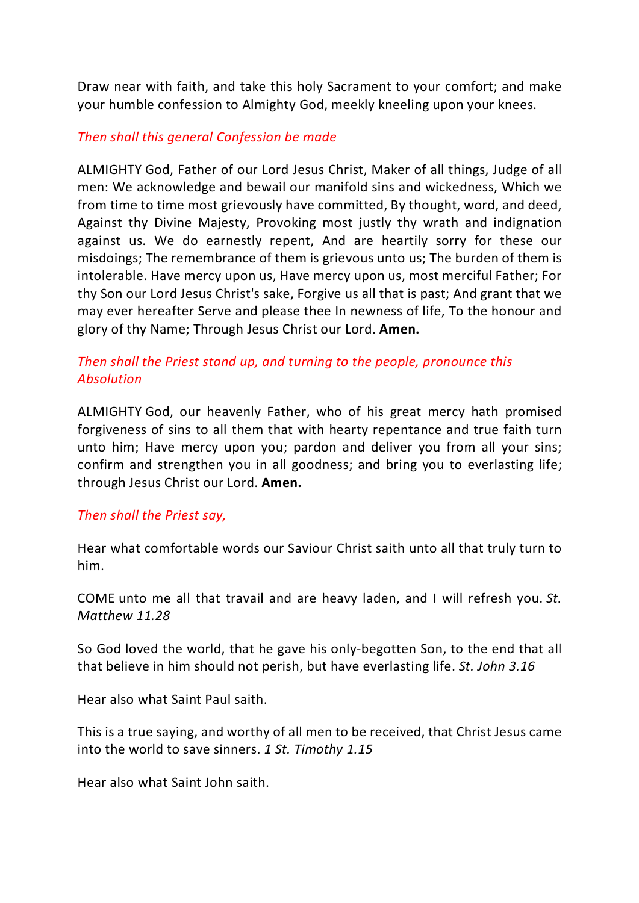Draw near with faith, and take this holy Sacrament to your comfort; and make your humble confession to Almighty God, meekly kneeling upon your knees.

### *Then shall this general Confession be made*

ALMIGHTY God, Father of our Lord Jesus Christ, Maker of all things, Judge of all men: We acknowledge and bewail our manifold sins and wickedness, Which we from time to time most grievously have committed, By thought, word, and deed, Against thy Divine Majesty, Provoking most justly thy wrath and indignation against us. We do earnestly repent, And are heartily sorry for these our misdoings; The remembrance of them is grievous unto us; The burden of them is intolerable. Have mercy upon us, Have mercy upon us, most merciful Father; For thy Son our Lord Jesus Christ's sake, Forgive us all that is past; And grant that we may ever hereafter Serve and please thee In newness of life, To the honour and glory of thy Name; Through Jesus Christ our Lord. **Amen.**

# *Then shall the Priest stand up, and turning to the people, pronounce this Absolution*

ALMIGHTY God, our heavenly Father, who of his great mercy hath promised forgiveness of sins to all them that with hearty repentance and true faith turn unto him; Have mercy upon you; pardon and deliver you from all your sins; confirm and strengthen you in all goodness; and bring you to everlasting life; through Jesus Christ our Lord. **Amen.**

#### *Then shall the Priest say,*

Hear what comfortable words our Saviour Christ saith unto all that truly turn to him.

COME unto me all that travail and are heavy laden, and I will refresh you. *St. Matthew 11.28*

So God loved the world, that he gave his only-begotten Son, to the end that all that believe in him should not perish, but have everlasting life. *St. John 3.16*

Hear also what Saint Paul saith.

This is a true saying, and worthy of all men to be received, that Christ Jesus came into the world to save sinners. *1 St. Timothy 1.15*

Hear also what Saint John saith.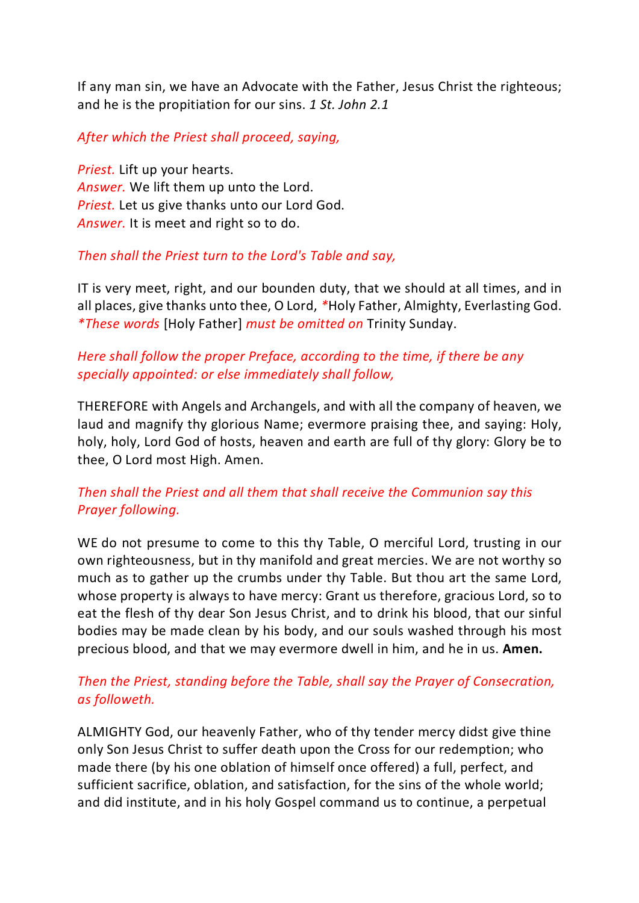If any man sin, we have an Advocate with the Father, Jesus Christ the righteous; and he is the propitiation for our sins. *1 St. John 2.1*

#### *After which the Priest shall proceed, saying,*

*Priest.* Lift up your hearts. *Answer.* We lift them up unto the Lord. *Priest.* Let us give thanks unto our Lord God. *Answer.* It is meet and right so to do.

## *Then shall the Priest turn to the Lord's Table and say,*

IT is very meet, right, and our bounden duty, that we should at all times, and in all places, give thanks unto thee, O Lord, *\**Holy Father, Almighty, Everlasting God. *\*These words* [Holy Father] *must be omitted on* Trinity Sunday.

## *Here shall follow the proper Preface, according to the time, if there be any specially appointed: or else immediately shall follow,*

THEREFORE with Angels and Archangels, and with all the company of heaven, we laud and magnify thy glorious Name; evermore praising thee, and saying: Holy, holy, holy, Lord God of hosts, heaven and earth are full of thy glory: Glory be to thee, O Lord most High. Amen.

# *Then shall the Priest and all them that shall receive the Communion say this Prayer following.*

WE do not presume to come to this thy Table, O merciful Lord, trusting in our own righteousness, but in thy manifold and great mercies. We are not worthy so much as to gather up the crumbs under thy Table. But thou art the same Lord, whose property is always to have mercy: Grant us therefore, gracious Lord, so to eat the flesh of thy dear Son Jesus Christ, and to drink his blood, that our sinful bodies may be made clean by his body, and our souls washed through his most precious blood, and that we may evermore dwell in him, and he in us. **Amen.**

## *Then the Priest, standing before the Table, shall say the Prayer of Consecration, as followeth.*

ALMIGHTY God, our heavenly Father, who of thy tender mercy didst give thine only Son Jesus Christ to suffer death upon the Cross for our redemption; who made there (by his one oblation of himself once offered) a full, perfect, and sufficient sacrifice, oblation, and satisfaction, for the sins of the whole world; and did institute, and in his holy Gospel command us to continue, a perpetual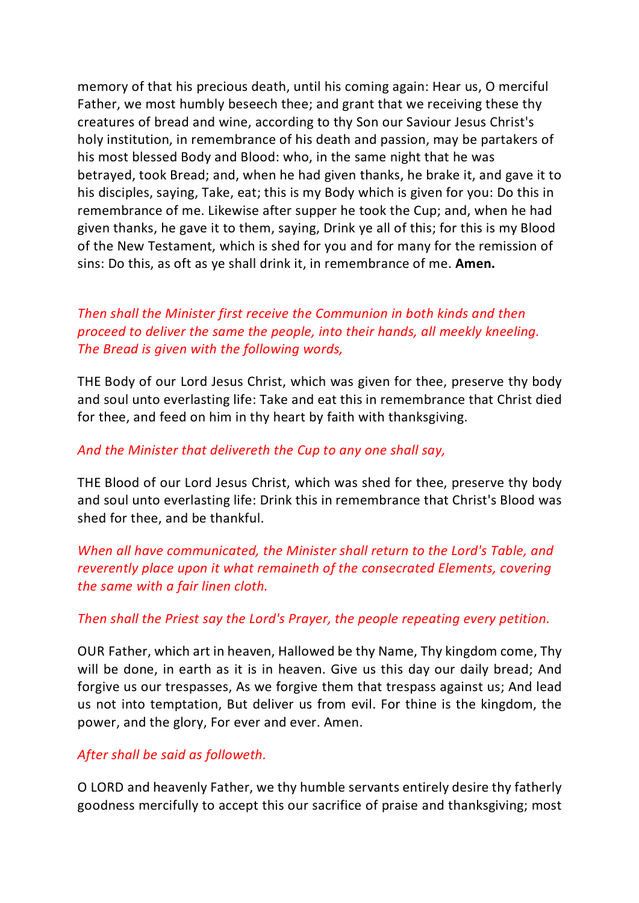memory of that his precious death, until his coming again: Hear us, O merciful Father, we most humbly beseech thee; and grant that we receiving these thy creatures of bread and wine, according to thy Son our Saviour Jesus Christ's holy institution, in remembrance of his death and passion, may be partakers of his most blessed Body and Blood: who, in the same night that he was betrayed, took Bread; and, when he had given thanks, he brake it, and gave it to his disciples, saying, Take, eat; this is my Body which is given for you: Do this in remembrance of me. Likewise after supper he took the Cup; and, when he had given thanks, he gave it to them, saying, Drink ye all of this; for this is my Blood of the New Testament, which is shed for you and for many for the remission of sins: Do this, as oft as ye shall drink it, in remembrance of me. **Amen.**

# *Then shall the Minister first receive the Communion in both kinds and then proceed to deliver the same the people, into their hands, all meekly kneeling. The Bread is given with the following words,*

THE Body of our Lord Jesus Christ, which was given for thee, preserve thy body and soul unto everlasting life: Take and eat this in remembrance that Christ died for thee, and feed on him in thy heart by faith with thanksgiving.

### *And the Minister that delivereth the Cup to any one shall say,*

THE Blood of our Lord Jesus Christ, which was shed for thee, preserve thy body and soul unto everlasting life: Drink this in remembrance that Christ's Blood was shed for thee, and be thankful.

*When all have communicated, the Minister shall return to the Lord's Table, and reverently place upon it what remaineth of the consecrated Elements, covering the same with a fair linen cloth.*

#### *Then shall the Priest say the Lord's Prayer, the people repeating every petition.*

OUR Father, which art in heaven, Hallowed be thy Name, Thy kingdom come, Thy will be done, in earth as it is in heaven. Give us this day our daily bread; And forgive us our trespasses, As we forgive them that trespass against us; And lead us not into temptation, But deliver us from evil. For thine is the kingdom, the power, and the glory, For ever and ever. Amen.

#### *After shall be said as followeth.*

O LORD and heavenly Father, we thy humble servants entirely desire thy fatherly goodness mercifully to accept this our sacrifice of praise and thanksgiving; most